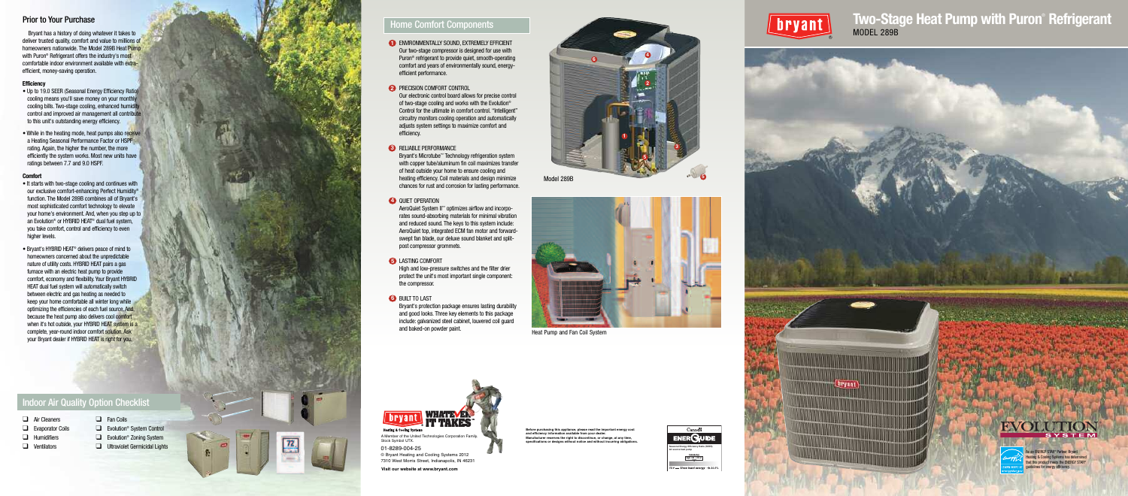

## **Two-Stage Heat Pump with Puron<sup>®</sup> Refrigerant** MODEL 289B